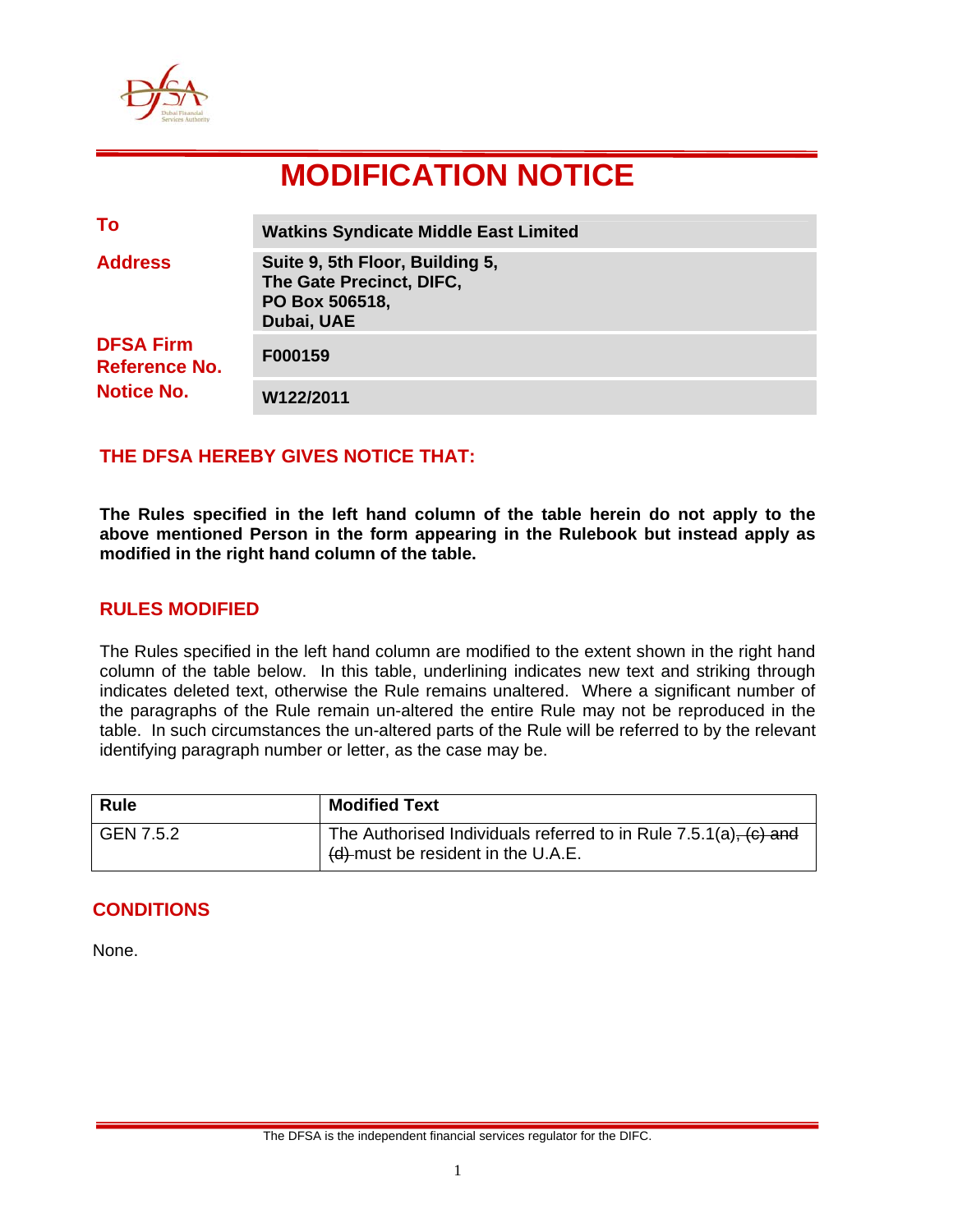

# **MODIFICATION NOTICE**

| To                                                            | <b>Watkins Syndicate Middle East Limited</b>                                                |
|---------------------------------------------------------------|---------------------------------------------------------------------------------------------|
| <b>Address</b>                                                | Suite 9, 5th Floor, Building 5,<br>The Gate Precinct, DIFC,<br>PO Box 506518,<br>Dubai, UAE |
| <b>DFSA Firm</b><br><b>Reference No.</b><br><b>Notice No.</b> | F000159                                                                                     |
|                                                               | W122/2011                                                                                   |

## **THE DFSA HEREBY GIVES NOTICE THAT:**

**The Rules specified in the left hand column of the table herein do not apply to the above mentioned Person in the form appearing in the Rulebook but instead apply as modified in the right hand column of the table.** 

### **RULES MODIFIED**

The Rules specified in the left hand column are modified to the extent shown in the right hand column of the table below. In this table, underlining indicates new text and striking through indicates deleted text, otherwise the Rule remains unaltered. Where a significant number of the paragraphs of the Rule remain un-altered the entire Rule may not be reproduced in the table. In such circumstances the un-altered parts of the Rule will be referred to by the relevant identifying paragraph number or letter, as the case may be.

| <b>Rule</b> | <b>Modified Text</b>                                                                                           |
|-------------|----------------------------------------------------------------------------------------------------------------|
| GEN 7.5.2   | The Authorised Individuals referred to in Rule $7.5.1(a)$ , $(c)$ and<br>$(d)$ -must be resident in the U.A.E. |

### **CONDITIONS**

None.